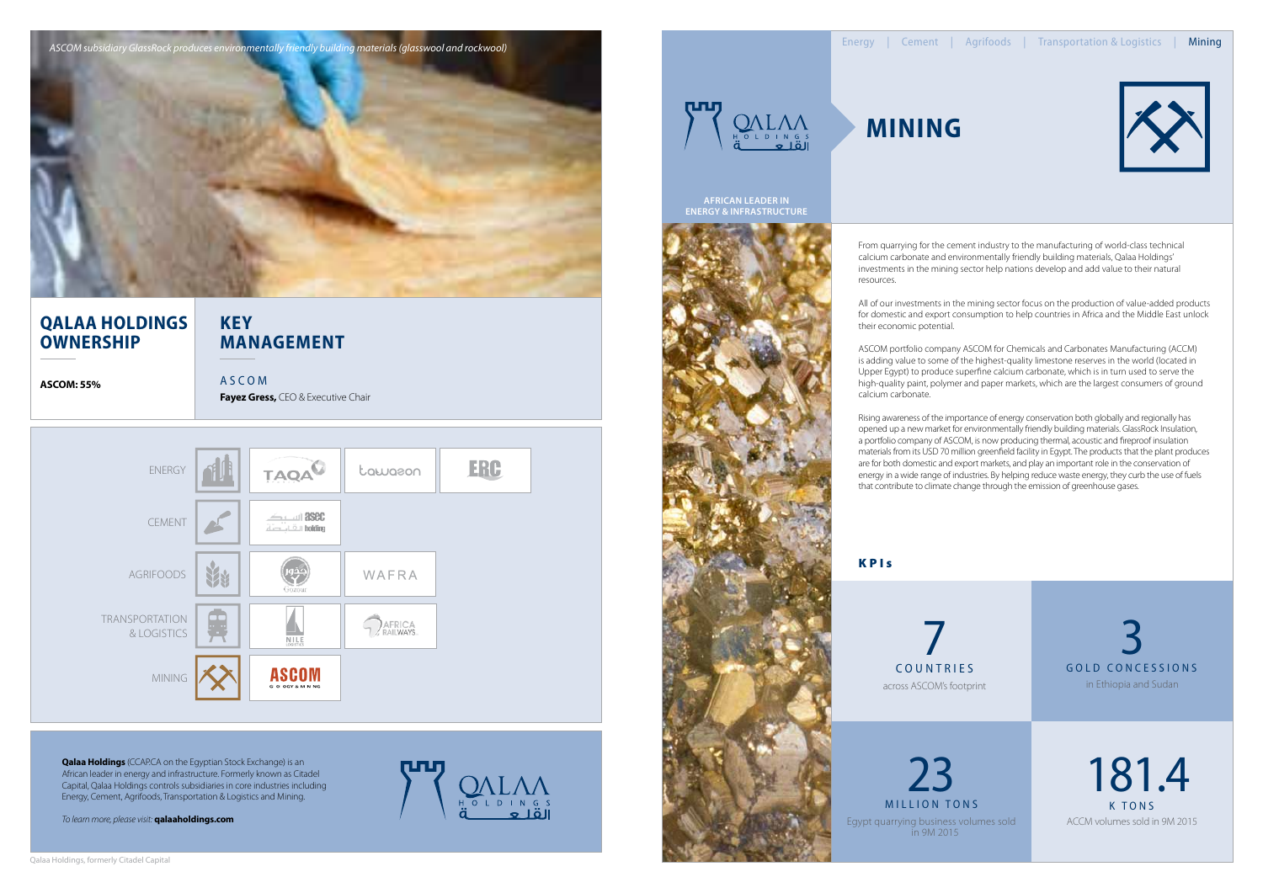From quarrying for the cement industry to the manufacturing of world-class technical calcium carbonate and environmentally friendly building materials, Qalaa Holdings' investments in the mining sector help nations develop and add value to their natural

resources.

All of our investments in the mining sector focus on the production of value-added products for domestic and export consumption to help countries in Africa and the Middle East unlock their economic potential.

ASCOM portfolio company ASCOM for Chemicals and Carbonates Manufacturing (ACCM) is adding value to some of the highest-quality limestone reserves in the world (located in Upper Egypt) to produce superfine calcium carbonate, which is in turn used to serve the high-quality paint, polymer and paper markets, which are the largest consumers of ground calcium carbonate.

MILLION TONS K TONS Egypt quarrying business volumes sold in 9M 2015 23

Rising awareness of the importance of energy conservation both globally and regionally has opened up a new market for environmentally friendly building materials. GlassRock Insulation, a portfolio company of ASCOM, is now producing thermal, acoustic and fireproof insulation materials from its USD 70 million greenfield facility in Egypt. The products that the plant produces are for both domestic and export markets, and play an important role in the conservation of energy in a wide range of industries. By helping reduce waste energy, they curb the use of fuels that contribute to climate change through the emission of greenhouse gases.

**KPIs** 

# **Mining**

181.4 ACCM volumes sold in 9M 2015

gold concessions 3 in Ethiopia and Sudan

countries across ASCOM's footprint 7





### **Key Management**

**ASCOM: 55%** A S C O M

### **Qalaa Holdings Ownership**

**Fayez Gress,** CEO & Executive Chair

**African Leader in energy & infrastructure**



**Qalaa Holdings** (CCAP.CA on the Egyptian Stock Exchange) is an African leader in energy and infrastructure. Formerly known as Citadel Capital, Qalaa Holdings controls subsidiaries in core industries including Energy, Cement, Agrifoods, Transportation & Logistics and Mining.

*To learn more, please visit:* **qalaaholdings.com**





*ASCOM subsidiary GlassRock produces environmentally friendly building materials (glasswool and rockwool)*